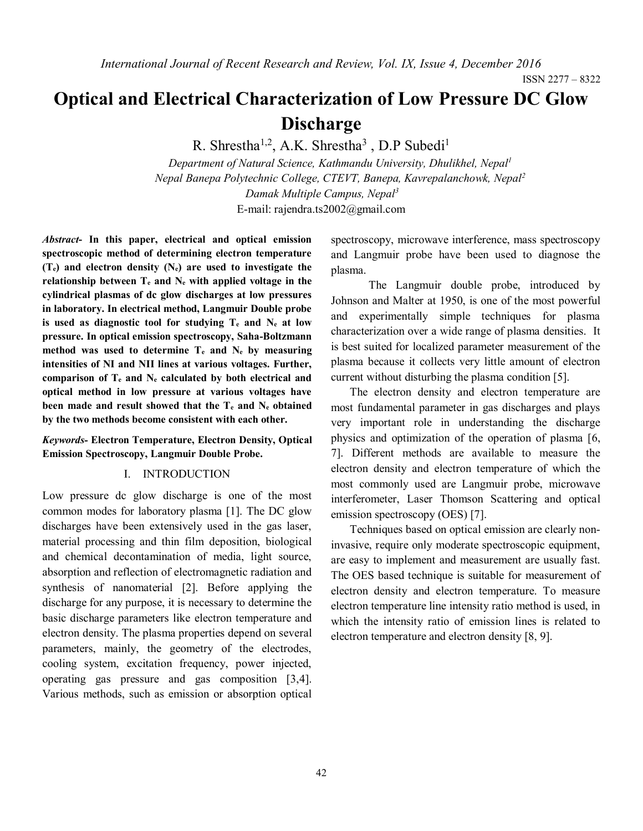ISSN 2277 – 8322

# **Optical and Electrical Characterization of Low Pressure DC Glow Discharge**

R. Shrestha<sup>1,2</sup>, A.K. Shrestha<sup>3</sup>, D.P Subedi<sup>1</sup>

*Department of Natural Science, Kathmandu University, Dhulikhel, Nepal<sup>1</sup> Nepal Banepa Polytechnic College, CTEVT, Banepa, Kavrepalanchowk, Nepal<sup>2</sup> Damak Multiple Campus, Nepal<sup>3</sup>* E-mail: [rajendra.ts2002@gmail.com](mailto:rajendra.ts2002@gmail.com)

*Abstract***- In this paper, electrical and optical emission spectroscopic method of determining electron temperature (Te) and electron density (Ne) are used to investigate the relationship between T<sup>e</sup> and N<sup>e</sup> with applied voltage in the cylindrical plasmas of dc glow discharges at low pressures in laboratory. In electrical method, Langmuir Double probe is used as diagnostic tool for studying T<sup>e</sup> and N<sup>e</sup> at low pressure. In optical emission spectroscopy, Saha-Boltzmann method was used to determine T<sup>e</sup> and N<sup>e</sup> by measuring intensities of NI and NII lines at various voltages. Further, comparison of T<sup>e</sup> and N<sup>e</sup> calculated by both electrical and optical method in low pressure at various voltages have been made and result showed that the T<sup>e</sup> and N<sup>e</sup> obtained by the two methods become consistent with each other.**

*Keywords-* **Electron Temperature, Electron Density, Optical Emission Spectroscopy, Langmuir Double Probe.**

#### I. INTRODUCTION

Low pressure dc glow discharge is one of the most common modes for laboratory plasma [1]. The DC glow discharges have been extensively used in the gas laser, material processing and thin film deposition, biological and chemical decontamination of media, light source, absorption and reflection of electromagnetic radiation and synthesis of nanomaterial [2]. Before applying the discharge for any purpose, it is necessary to determine the basic discharge parameters like electron temperature and electron density. The plasma properties depend on several parameters, mainly, the geometry of the electrodes, cooling system, excitation frequency, power injected, operating gas pressure and gas composition [3,4]. Various methods, such as emission or absorption optical

spectroscopy, microwave interference, mass spectroscopy and Langmuir probe have been used to diagnose the plasma.

The Langmuir double probe, introduced by Johnson and Malter at 1950, is one of the most powerful and experimentally simple techniques for plasma characterization over a wide range of plasma densities. It is best suited for localized parameter measurement of the plasma because it collects very little amount of electron current without disturbing the plasma condition [5].

The electron density and electron temperature are most fundamental parameter in gas discharges and plays very important role in understanding the discharge physics and optimization of the operation of plasma [6, 7]. Different methods are available to measure the electron density and electron temperature of which the most commonly used are Langmuir probe, microwave interferometer, Laser Thomson Scattering and optical emission spectroscopy (OES) [7].

Techniques based on optical emission are clearly noninvasive, require only moderate spectroscopic equipment, are easy to implement and measurement are usually fast. The OES based technique is suitable for measurement of electron density and electron temperature. To measure electron temperature line intensity ratio method is used, in which the intensity ratio of emission lines is related to electron temperature and electron density [8, 9].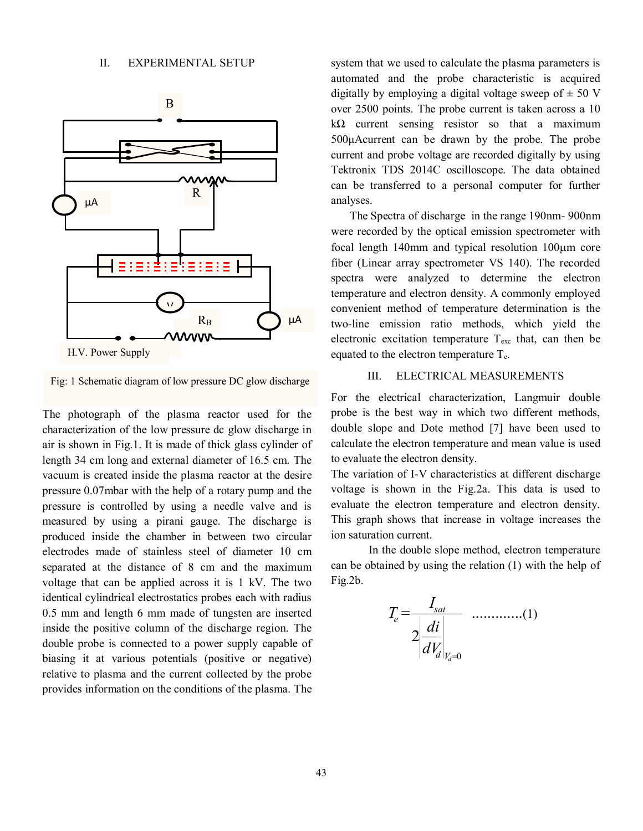

H.V. Power Supply

Fig: 1 Schematic diagram of low pressure DC glow discharge

The photograph of the plasma reactor used for the characterization of the low pressure dc glow discharge in air is shown in Fig.1. It is made of thick glass cylinder of length 34 cm long and external diameter of 16.5 cm. The vacuum is created inside the plasma reactor at the desire pressure 0.07mbar with the help of a rotary pump and the pressure is controlled by using a needle valve and is measured by using a pirani gauge. The discharge is produced inside the chamber in between two circular electrodes made of stainless steel of diameter 10 cm separated at the distance of 8 cm and the maximum voltage that can be applied across it is 1 kV. The two identical cylindrical electrostatics probes each with radius 0.5 mm and length 6 mm made of tungsten are inserted inside the positive column of the discharge region. The double probe is connected to a power supply capable of biasing it at various potentials (positive or negative) relative to plasma and the current collected by the probe provides information on the conditions of the plasma. The

system that we used to calculate the plasma parameters is automated and the probe characteristic is acquired digitally by employing a digital voltage sweep of  $\pm$  50 V over 2500 points. The probe current is taken across a 10  $k\Omega$  current sensing resistor so that a maximum 500μAcurrent can be drawn by the probe. The probe current and probe voltage are recorded digitally by using Tektronix TDS 2014C oscilloscope. The data obtained can be transferred to a personal computer for further analyses.

The Spectra of discharge in the range 190nm- 900nm were recorded by the optical emission spectrometer with focal length  $140$ mm and typical resolution  $100 \mu m$  core fiber (Linear array spectrometer VS 140). The recorded spectra were analyzed to determine the electron temperature and electron density. A commonly employed convenient method of temperature determination is the two-line emission ratio methods, which yield the electronic excitation temperature  $T_{\text{exc}}$  that, can then be equated to the electron temperature  $T_{e}$ .

### III. ELECTRICAL MEASUREMENTS

For the electrical characterization, Langmuir double probe is the best way in which two different methods, double slope and Dote method [7] have been used to calculate the electron temperature and mean value is used to evaluate the electron density.

The variation of I-V characteristics at different discharge voltage is shown in the Fig.2a. This data is used to evaluate the electron temperature and electron density. This graph shows that increase in voltage increases the ion saturation current.

In the double slope method, electron temperature can be obtained by using the relation (1) with the help of Fig.2b.

$$
T_e = \frac{I_{sat}}{2\left|\frac{di}{dV_d}\right|_{V_d=0}} \quad \dots \dots \dots \dots (1)
$$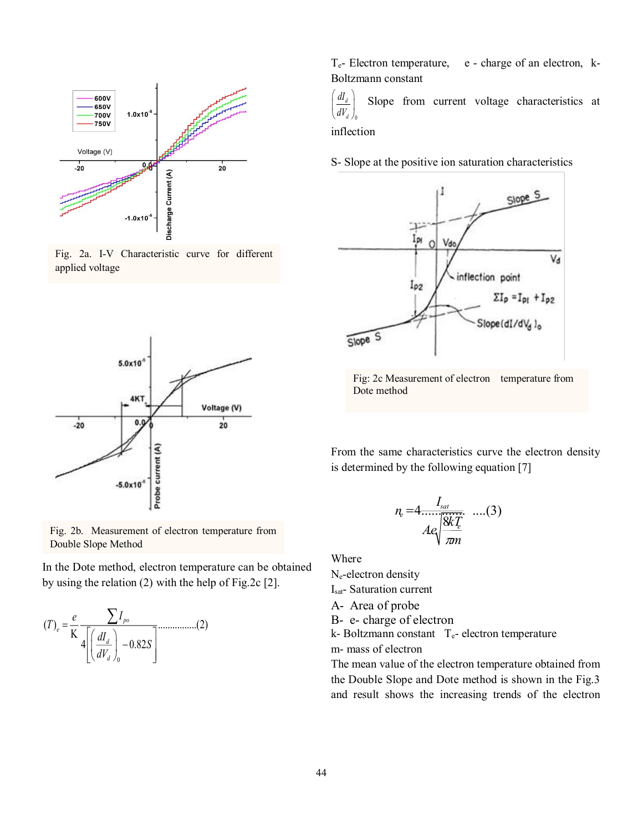

Fig. 2a. I-V Characteristic curve for different applied voltage



Fig. 2b. Measurement of electron temperature from Double Slope Method

In the Dote method, electron temperature can be obtained by using the relation (2) with the help of Fig.2c [2].

$$
(T)_e = \frac{e}{K} \frac{\sum I_{po}}{4 \left[ \left( \frac{dI_d}{dV_d} \right)_0 - 0.82S \right]} \dots \dots \dots \dots \dots (2)
$$

 $T_{e}$ - Electron temperature, e - charge of an electron, k-Boltzmann constant

0 *d dI*  $\left(\frac{dI_d}{dV_d}\right)_0$ Slope from current voltage characteristics at

inflection

S- Slope at the positive ion saturation characteristics



Fig: 2c Measurement of electron temperature from Dote method

From the same characteristics curve the electron density is determined by the following equation [7]

$$
n_e = 4 \frac{I_{sat}}{Ae\sqrt{\frac{8kT_e}{\pi m}}} \quad ....(3)
$$

Where

Ne-electron density Isat- Saturation current

A- Area of probe

B- e- charge of electron

k- Boltzmann constant  $T_e$ - electron temperature m- mass of electron

The mean value of the electron temperature obtained from the Double Slope and Dote method is shown in the Fig.3 and result shows the increasing trends of the electron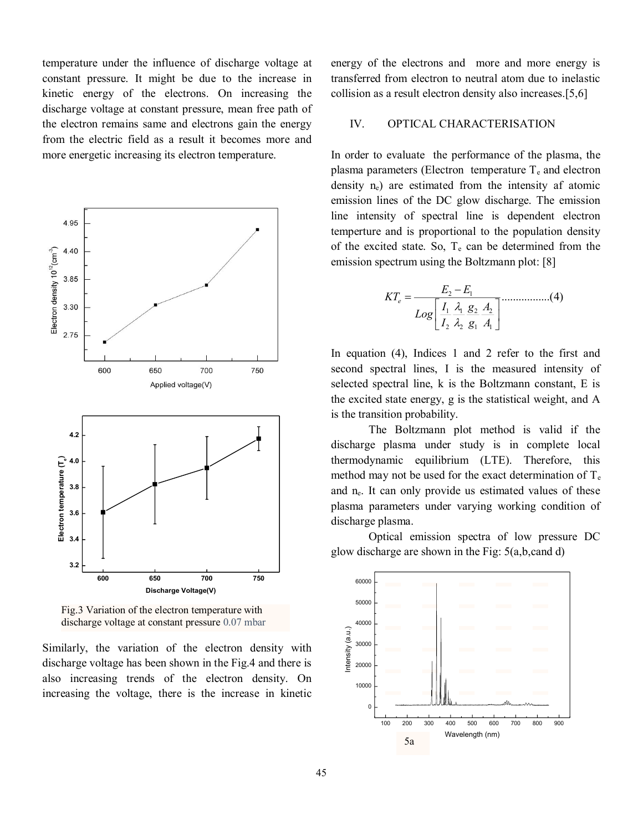temperature under the influence of discharge voltage at constant pressure. It might be due to the increase in kinetic energy of the electrons. On increasing the discharge voltage at constant pressure, mean free path of the electron remains same and electrons gain the energy from the electric field as a result it becomes more and more energetic increasing its electron temperature.



Fig.3 Variation of the electron temperature with discharge voltage at constant pressure 0.07 mbar

Similarly, the variation of the electron density with discharge voltage has been shown in the Fig.4 and there is also increasing trends of the electron density. On increasing the voltage, there is the increase in kinetic

energy of the electrons and more and more energy is transferred from electron to neutral atom due to inelastic collision as a result electron density also increases.[5,6]

#### IV. OPTICAL CHARACTERISATION

In order to evaluate the performance of the plasma, the plasma parameters (Electron temperature  $T_e$  and electron density ne) are estimated from the intensity af atomic emission lines of the DC glow discharge. The emission line intensity of spectral line is dependent electron temperture and is proportional to the population density of the excited state. So,  $T_e$  can be determined from the emission spectrum using the Boltzmann plot: [8]

$$
KT_e = \frac{E_2 - E_1}{Log\left[\frac{I_1}{I_2} \frac{\lambda_1}{\lambda_2} \frac{g_2}{g_1} \frac{A_2}{A_1}\right]} \dots (4)
$$

In equation (4), Indices 1 and 2 refer to the first and second spectral lines, I is the measured intensity of selected spectral line, k is the Boltzmann constant, E is the excited state energy, g is the statistical weight, and A is the transition probability.

The Boltzmann plot method is valid if the discharge plasma under study is in complete local thermodynamic equilibrium (LTE). Therefore, this method may not be used for the exact determination of  $T_e$ and ne. It can only provide us estimated values of these plasma parameters under varying working condition of discharge plasma.

Optical emission spectra of low pressure DC glow discharge are shown in the Fig: 5(a,b,cand d)

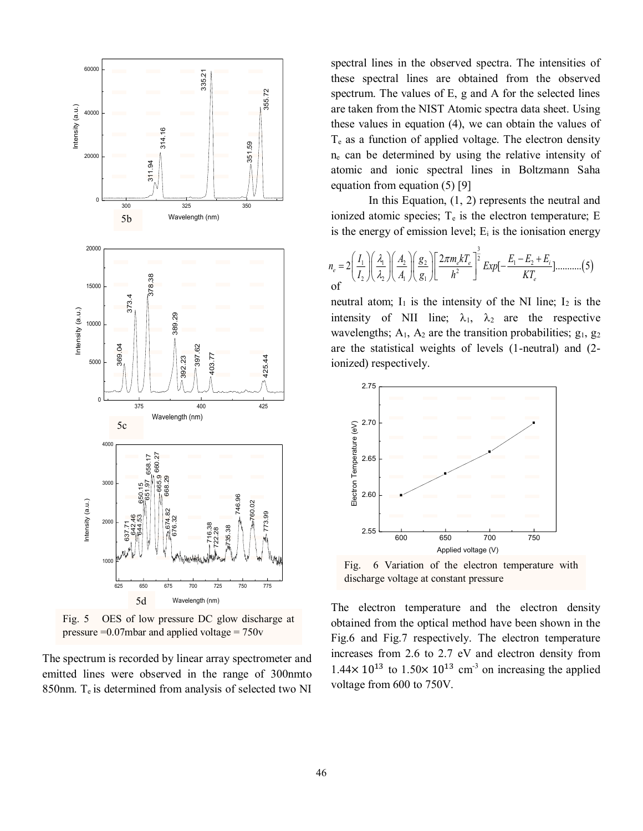

Fig. 5 OES of low pressure DC glow discharge at pressure =0.07mbar and applied voltage = 750v

The spectrum is recorded by linear array spectrometer and emitted lines were observed in the range of 300nmto 850nm.  $T_e$  is determined from analysis of selected two NI spectral lines in the observed spectra. The intensities of these spectral lines are obtained from the observed spectrum. The values of E, g and A for the selected lines are taken from the NIST Atomic spectra data sheet. Using these values in equation (4), we can obtain the values of  $T<sub>e</sub>$  as a function of applied voltage. The electron density  $n_e$  can be determined by using the relative intensity of atomic and ionic spectral lines in Boltzmann Saha equation from equation (5) [9]

In this Equation, (1, 2) represents the neutral and ionized atomic species;  $T_e$  is the electron temperature; E is the energy of emission level;  $E_i$  is the ionisation energy

$$
n_e = 2\left(\frac{I_1}{I_2}\right)\left(\frac{\lambda_1}{\lambda_2}\right)\left(\frac{A_2}{A_1}\right)\left(\frac{g_2}{g_1}\right)\left[\frac{2\pi m_e kT_e}{h^2}\right]^{\frac{3}{2}} Exp\left[-\frac{E_1 - E_2 + E_i}{kT_e}\right] \dots \dots \dots (5)
$$

neutral atom;  $I_1$  is the intensity of the NI line;  $I_2$  is the intensity of NII line;  $\lambda_1$ ,  $\lambda_2$  are the respective wavelengths;  $A_1$ ,  $A_2$  are the transition probabilities;  $g_1$ ,  $g_2$ are the statistical weights of levels (1-neutral) and (2 ionized) respectively.



Fig. 6 Variation of the electron temperature with discharge voltage at constant pressure

The electron temperature and the electron density obtained from the optical method have been shown in the Fig.6 and Fig.7 respectively. The electron temperature increases from 2.6 to 2.7 eV and electron density from  $1.44 \times 10^{13}$  to  $1.50 \times 10^{13}$  cm<sup>-3</sup> on increasing the applied voltage from 600 to 750V.